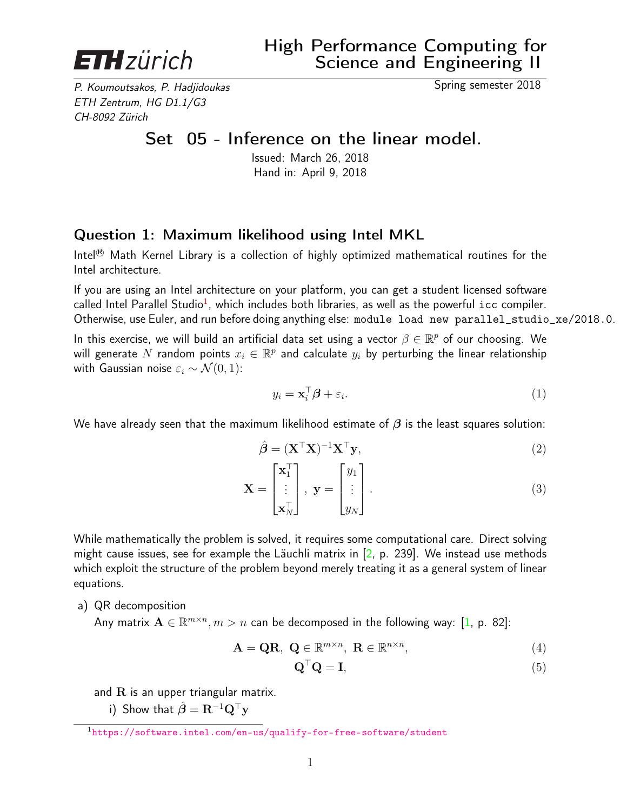

P. Koumoutsakos, P. Hadjidoukas Spring semester 2018 ETH Zentrum, HG D1.1/G3 CH-8092 Zürich

## Set 05 - Inference on the linear model.

Issued: March 26, 2018 Hand in: April 9, 2018

## Question 1: Maximum likelihood using Intel MKL

Intel<sup>®</sup> Math Kernel Library is a collection of highly optimized mathematical routines for the Intel architecture.

If you are using an Intel architecture on your platform, you can get a student licensed software called Intel Parallel Studio<sup>1</sup>, which includes both libraries, as well as the powerful  ${\tt icc}$  compiler. Otherwise, use Euler, and run before doing anything else: module load new parallel\_studio\_xe/2018.0.

In this exercise, we will build an artificial data set using a vector  $\beta \in \mathbb{R}^p$  of our choosing. We will generate  $N$  random points  $x_i \in \mathbb{R}^p$  and calculate  $y_i$  by perturbing the linear relationship with Gaussian noise  $\varepsilon_i \sim \mathcal{N}(0, 1)$ :

$$
y_i = \mathbf{x}_i^{\top} \boldsymbol{\beta} + \varepsilon_i. \tag{1}
$$

We have already seen that the maximum likelihood estimate of  $\beta$  is the least squares solution:

$$
\hat{\boldsymbol{\beta}} = (\mathbf{X}^{\top}\mathbf{X})^{-1}\mathbf{X}^{\top}\mathbf{y},\tag{2}
$$

$$
\mathbf{X} = \begin{bmatrix} \mathbf{x}_1^{\top} \\ \vdots \\ \mathbf{x}_N^{\top} \end{bmatrix}, \ \mathbf{y} = \begin{bmatrix} y_1 \\ \vdots \\ y_N \end{bmatrix} . \tag{3}
$$

While mathematically the problem is solved, it requires some computational care. Direct solving might cause issues, see for example the Läuchli matrix in  $[2, p. 239]$  $[2, p. 239]$ . We instead use methods which exploit the structure of the problem beyond merely treating it as a general system of linear equations.

a) QR decomposition

Any matrix  $\mathbf{A} \in \mathbb{R}^{m \times n}, m > n$  can be decomposed in the following way: [\[1,](#page-2-1) p. 82]:

$$
\mathbf{A} = \mathbf{Q}\mathbf{R}, \ \mathbf{Q} \in \mathbb{R}^{m \times n}, \ \mathbf{R} \in \mathbb{R}^{n \times n}, \tag{4}
$$

$$
\mathbf{Q}^{\top}\mathbf{Q} = \mathbf{I},\tag{5}
$$

and  $R$  is an upper triangular matrix.

i) Show that  $\hat{\boldsymbol{\beta}} = \mathbf{R}^{-1} \mathbf{Q}^{\top} \mathbf{y}$ 

<sup>1</sup><https://software.intel.com/en-us/qualify-for-free-software/student>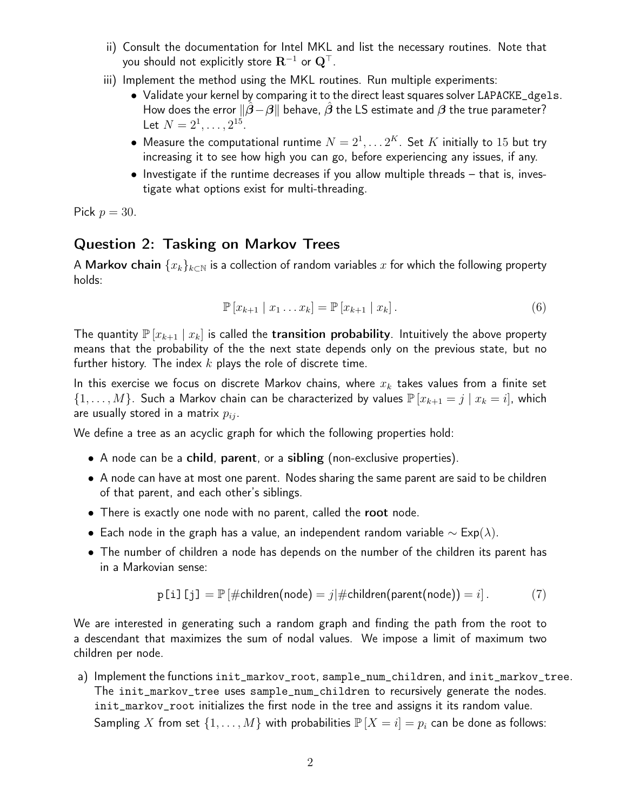- ii) Consult the documentation for Intel MKL and list the necessary routines. Note that you should not explicitly store  $\mathbf{R}^{-1}$  or  $\mathbf{Q}^{\top}$ .
- iii) Implement the method using the MKL routines. Run multiple experiments:
	- Validate your kernel by comparing it to the direct least squares solver LAPACKE\_dgels. How does the error  $\|\beta-\beta\|$  behave,  $\beta$  the LS estimate and  $\beta$  the true parameter? Let  $N = 2^1, \ldots, 2^{15}$ .
	- $\bullet\,$  Measure the computational runtime  $N=2^1,\ldots 2^K$ . Set  $K$  initially to  $15$  but try increasing it to see how high you can go, before experiencing any issues, if any.
	- Investigate if the runtime decreases if you allow multiple threads that is, investigate what options exist for multi-threading.

Pick  $p = 30$ .

## Question 2: Tasking on Markov Trees

A Markov chain  $\{x_k\}_{k\in\mathbb{N}}$  is a collection of random variables x for which the following property holds:

$$
\mathbb{P}[x_{k+1} | x_1 ... x_k] = \mathbb{P}[x_{k+1} | x_k]. \tag{6}
$$

The quantity  $\mathbb{P}[x_{k+1} | x_k]$  is called the transition probability. Intuitively the above property means that the probability of the the next state depends only on the previous state, but no further history. The index  $k$  plays the role of discrete time.

In this exercise we focus on discrete Markov chains, where  $x_k$  takes values from a finite set  $\{1,\ldots,M\}$ . Such a Markov chain can be characterized by values  $\mathbb{P}\left[x_{k+1}=j\mid x_k=i\right]$ , which are usually stored in a matrix  $p_{ij}$ .

We define a tree as an acyclic graph for which the following properties hold:

- A node can be a child, parent, or a sibling (non-exclusive properties).
- A node can have at most one parent. Nodes sharing the same parent are said to be children of that parent, and each other's siblings.
- There is exactly one node with no parent, called the root node.
- Each node in the graph has a value, an independent random variable  $\sim$  Exp( $\lambda$ ).
- The number of children a node has depends on the number of the children its parent has in a Markovian sense:

$$
p[i][j] = \mathbb{P}[\#children(node) = j | \#children(parent(node)) = i].
$$
 (7)

We are interested in generating such a random graph and finding the path from the root to a descendant that maximizes the sum of nodal values. We impose a limit of maximum two children per node.

a) Implement the functions init\_markov\_root, sample\_num\_children, and init\_markov\_tree. The init\_markov\_tree uses sample\_num\_children to recursively generate the nodes. init\_markov\_root initializes the first node in the tree and assigns it its random value. Sampling X from set  $\{1,\ldots,M\}$  with probabilities  $\mathbb{P}[X=i]=p_i$  can be done as follows: